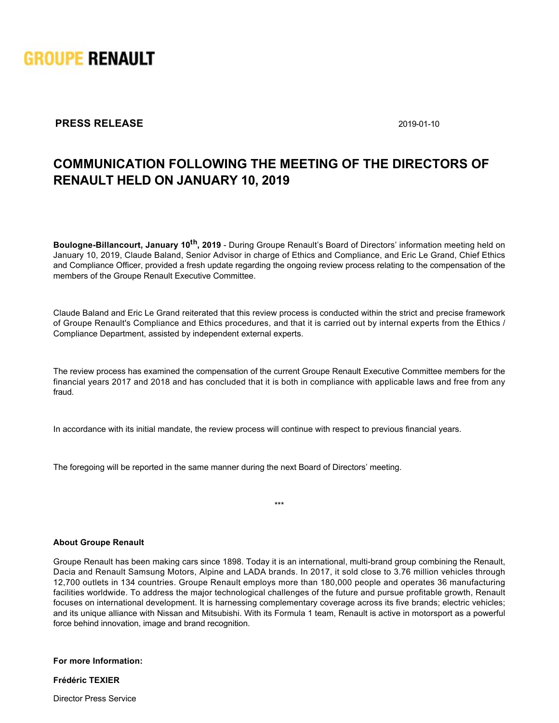

## **PRESS RELEASE** 2019-01-10

## **COMMUNICATION FOLLOWING THE MEETING OF THE DIRECTORS OF RENAULT HELD ON JANUARY 10, 2019**

**Boulogne-Billancourt, January 10<sup>th</sup>, 2019** - During Groupe Renault's Board of Directors' information meeting held on January 10, 2019, Claude Baland, Senior Advisor in charge of Ethics and Compliance, and Eric Le Grand, Chief Ethics and Compliance Officer, provided a fresh update regarding the ongoing review process relating to the compensation of the members of the Groupe Renault Executive Committee.

Claude Baland and Eric Le Grand reiterated that this review process is conducted within the strict and precise framework of Groupe Renault's Compliance and Ethics procedures, and that it is carried out by internal experts from the Ethics / Compliance Department, assisted by independent external experts.

The review process has examined the compensation of the current Groupe Renault Executive Committee members for the financial years 2017 and 2018 and has concluded that it is both in compliance with applicable laws and free from any fraud.

In accordance with its initial mandate, the review process will continue with respect to previous financial years.

The foregoing will be reported in the same manner during the next Board of Directors' meeting.

## **About Groupe Renault**

Groupe Renault has been making cars since 1898. Today it is an international, multi-brand group combining the Renault, Dacia and Renault Samsung Motors, Alpine and LADA brands. In 2017, it sold close to 3.76 million vehicles through 12,700 outlets in 134 countries. Groupe Renault employs more than 180,000 people and operates 36 manufacturing facilities worldwide. To address the major technological challenges of the future and pursue profitable growth, Renault focuses on international development. It is harnessing complementary coverage across its five brands; electric vehicles; and its unique alliance with Nissan and Mitsubishi. With its Formula 1 team, Renault is active in motorsport as a powerful force behind innovation, image and brand recognition.

\*\*\*

**For more Information:**

**Frédéric TEXIER**

Director Press Service